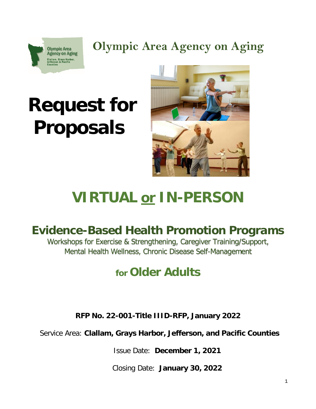

**Olympic Area Agency on Aging**

# **Request for Proposals**



## **VIRTUAL or IN-PERSON**

## **Evidence-Based Health Promotion Programs**

Workshops for Exercise & Strengthening, Caregiver Training/Support, Mental Health Wellness, Chronic Disease Self-Management

## **for Older Adults**

**RFP No. 22-001-Title IIID-RFP, January 2022**

Service Area: **Clallam, Grays Harbor, Jefferson, and Pacific Counties**

Issue Date: **December 1, 2021**

Closing Date: **January 30, 2022**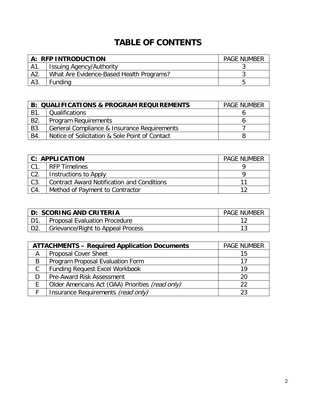## **TABLE OF CONTENTS**

| A: RFP INTRODUCTION |                                          | <b>PAGE NUMBER</b> |
|---------------------|------------------------------------------|--------------------|
| A1.                 | <b>Issuing Agency/Authority</b>          |                    |
| A2                  | What Are Evidence-Based Health Programs? |                    |
| A3.                 | Funding                                  |                    |

|                  | <b>B: QUALIFICATIONS &amp; PROGRAM REQUIREMENTS</b> |  |
|------------------|-----------------------------------------------------|--|
| B1               | Qualifications                                      |  |
| B <sub>2</sub> . | <b>Program Requirements</b>                         |  |
| B3.              | General Compliance & Insurance Requirements         |  |
| B4.              | Notice of Solicitation & Sole Point of Contact      |  |

| <b>C: APPLICATION</b> |                                                   | <b>PAGE NUMBER</b> |
|-----------------------|---------------------------------------------------|--------------------|
| C1.                   | <b>RFP Timelines</b>                              |                    |
| C2                    | Instructions to Apply                             |                    |
| C3.                   | <b>Contract Award Notification and Conditions</b> |                    |
| C4.                   | Method of Payment to Contractor                   |                    |

| D: SCORING AND CRITERIA |                                   | <b>PAGE NUMBER</b> |  |
|-------------------------|-----------------------------------|--------------------|--|
|                         | Proposal Evaluation Procedure     |                    |  |
|                         | Grievance/Right to Appeal Process |                    |  |

| <b>ATTACHMENTS - Required Application Documents</b> |                                                  | <b>PAGE NUMBER</b> |
|-----------------------------------------------------|--------------------------------------------------|--------------------|
| A                                                   | <b>Proposal Cover Sheet</b>                      | 15                 |
| B                                                   | Program Proposal Evaluation Form                 |                    |
| C                                                   | <b>Funding Request Excel Workbook</b>            | 19                 |
|                                                     | <b>Pre-Award Risk Assessment</b>                 | 20                 |
|                                                     | Older Americans Act (OAA) Priorities (read only) | 22                 |
|                                                     | Insurance Requirements (read only)               |                    |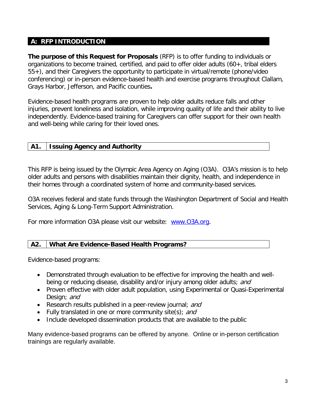#### **A: RFP INTRODUCTION**

**The purpose of this Request for Proposals** (RFP) is to offer funding to individuals or organizations to become trained, certified, and paid to offer older adults (60+, tribal elders 55+), and their Caregivers the opportunity to participate in virtual/remote (phone/video conferencing) or in-person evidence-based health and exercise programs throughout Clallam, Grays Harbor, Jefferson, and Pacific counties**.** 

Evidence-based health programs are proven to help older adults reduce falls and other injuries, prevent loneliness and isolation, while improving quality of life and their ability to live independently. Evidence-based training for Caregivers can offer support for their own health and well-being while caring for their loved ones.

#### **A1. Issuing Agency and Authority**

This RFP is being issued by the Olympic Area Agency on Aging (O3A). O3A's mission is to help older adults and persons with disabilities maintain their dignity, health, and independence in their homes through a coordinated system of home and community-based services.

O3A receives federal and state funds through the Washington Department of Social and Health Services, Aging & Long-Term Support Administration.

For more information O3A please visit our website: [www.O3A.org.](http://www.o3a.org/)

#### **A2. What Are Evidence-Based Health Programs?**

Evidence-based programs:

- Demonstrated through evaluation to be effective for improving the health and wellbeing or reducing disease, disability and/or injury among older adults; and
- Proven effective with older adult population, using Experimental or Quasi-Experimental Design; and
- Research results published in a peer-review journal; and
- Fully translated in one or more community site(s); and
- Include developed dissemination products that are available to the public

Many evidence-based programs can be offered by anyone. Online or in-person certification trainings are regularly available.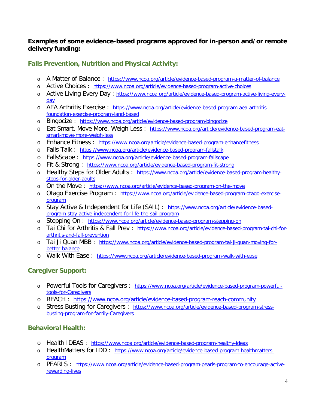#### **Examples of some evidence-based programs approved for in-person and/or remote delivery funding:**

#### **Falls Prevention, Nutrition and Physical Activity:**

- o A Matter of Balance : <https://www.ncoa.org/article/evidence-based-program-a-matter-of-balance>
- o Active Choices : <https://www.ncoa.org/article/evidence-based-program-active-choices>
- o Active Living Every Day : [https://www.ncoa.org/article/evidence-based-program-active-living-every](https://www.ncoa.org/article/evidence-based-program-active-living-every-day)[day](https://www.ncoa.org/article/evidence-based-program-active-living-every-day)
- o AEA Arthritis Exercise : [https://www.ncoa.org/article/evidence-based-program-aea-arthritis](https://www.ncoa.org/article/evidence-based-program-aea-arthritis-foundation-exercise-program-land-based)[foundation-exercise-program-land-based](https://www.ncoa.org/article/evidence-based-program-aea-arthritis-foundation-exercise-program-land-based)
- o Bingocize : <https://www.ncoa.org/article/evidence-based-program-bingocize>
- o Eat Smart, Move More, Weigh Less : [https://www.ncoa.org/article/evidence-based-program-eat](https://www.ncoa.org/article/evidence-based-program-eat-smart-move-more-weigh-less)[smart-move-more-weigh-less](https://www.ncoa.org/article/evidence-based-program-eat-smart-move-more-weigh-less)
- o Enhance Fitness : <https://www.ncoa.org/article/evidence-based-program-enhancefitness>
- o Falls Talk : <https://www.ncoa.org/article/evidence-based-program-fallstalk>
- o FallsScape : <https://www.ncoa.org/article/evidence-based-program-fallscape>
- o Fit & Strong: <https://www.ncoa.org/article/evidence-based-program-fit-strong>
- o Healthy Steps for Older Adults : [https://www.ncoa.org/article/evidence-based-program-healthy](https://www.ncoa.org/article/evidence-based-program-healthy-steps-for-older-adults)[steps-for-older-adults](https://www.ncoa.org/article/evidence-based-program-healthy-steps-for-older-adults)
- o On the Move : <https://www.ncoa.org/article/evidence-based-program-on-the-move>
- o Otago Exercise Program: [https://www.ncoa.org/article/evidence-based-program-otago-exercise](https://www.ncoa.org/article/evidence-based-program-otago-exercise-program)[program](https://www.ncoa.org/article/evidence-based-program-otago-exercise-program)
- o Stay Active & Independent for Life (SAIL) : [https://www.ncoa.org/article/evidence-based](https://www.ncoa.org/article/evidence-based-program-stay-active-independent-for-life-the-sail-program)[program-stay-active-independent-for-life-the-sail-program](https://www.ncoa.org/article/evidence-based-program-stay-active-independent-for-life-the-sail-program)
- o Stepping On : <https://www.ncoa.org/article/evidence-based-program-stepping-on>
- o Tai Chi for Arthritis & Fall Prev : [https://www.ncoa.org/article/evidence-based-program-tai-chi-for](https://www.ncoa.org/article/evidence-based-program-tai-chi-for-arthritis-and-fall-prevention)[arthritis-and-fall-prevention](https://www.ncoa.org/article/evidence-based-program-tai-chi-for-arthritis-and-fall-prevention)
- o Tai Ji Quan MBB : [https://www.ncoa.org/article/evidence-based-program-tai-ji-quan-moving-for](https://www.ncoa.org/article/evidence-based-program-tai-ji-quan-moving-for-better-balance)[better-balance](https://www.ncoa.org/article/evidence-based-program-tai-ji-quan-moving-for-better-balance)
- o Walk With Ease : <https://www.ncoa.org/article/evidence-based-program-walk-with-ease>

#### **Caregiver Support:**

- o Powerful Tools for Caregivers : [https://www.ncoa.org/article/evidence-based-program-powerful](https://www.ncoa.org/article/evidence-based-program-powerful-tools-for-caregivers)[tools-for-Caregivers](https://www.ncoa.org/article/evidence-based-program-powerful-tools-for-caregivers)
- o REACH : <https://www.ncoa.org/article/evidence-based-program-reach-community>
- o Stress Busting for Caregivers : [https://www.ncoa.org/article/evidence-based-program-stress](https://www.ncoa.org/article/evidence-based-program-stress-busting-program-for-family-caregivers)[busting-program-for-family-Caregivers](https://www.ncoa.org/article/evidence-based-program-stress-busting-program-for-family-caregivers)

#### **Behavioral Health:**

- o Health IDEAS : <https://www.ncoa.org/article/evidence-based-program-healthy-ideas>
- o HealthMatters for IDD : [https://www.ncoa.org/article/evidence-based-program-healthmatters](https://www.ncoa.org/article/evidence-based-program-healthmatters-program)[program](https://www.ncoa.org/article/evidence-based-program-healthmatters-program)
- o PEARLS : [https://www.ncoa.org/article/evidence-based-program-pearls-program-to-encourage-active](https://www.ncoa.org/article/evidence-based-program-pearls-program-to-encourage-active-rewarding-lives)[rewarding-lives](https://www.ncoa.org/article/evidence-based-program-pearls-program-to-encourage-active-rewarding-lives)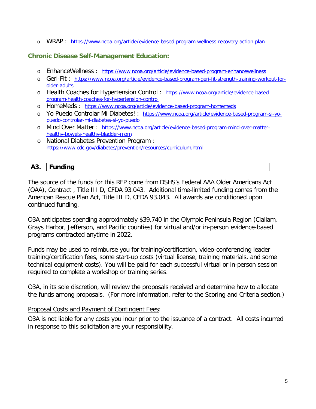o WRAP : <https://www.ncoa.org/article/evidence-based-program-wellness-recovery-action-plan>

#### **Chronic Disease Self-Management Education:**

- o EnhanceWellness : <https://www.ncoa.org/article/evidence-based-program-enhancewellness>
- o Geri-Fit : [https://www.ncoa.org/article/evidence-based-program-geri-fit-strength-training-workout-for](https://www.ncoa.org/article/evidence-based-program-geri-fit-strength-training-workout-for-older-adults)[older-adults](https://www.ncoa.org/article/evidence-based-program-geri-fit-strength-training-workout-for-older-adults)
- o Health Coaches for Hypertension Control : [https://www.ncoa.org/article/evidence-based](https://www.ncoa.org/article/evidence-based-program-health-coaches-for-hypertension-control)[program-health-coaches-for-hypertension-control](https://www.ncoa.org/article/evidence-based-program-health-coaches-for-hypertension-control)
- o HomeMeds : <https://www.ncoa.org/article/evidence-based-program-homemeds>
- o Yo Puedo Controlar Mi Diabetes! : [https://www.ncoa.org/article/evidence-based-program-si-yo](https://www.ncoa.org/article/evidence-based-program-si-yo-puedo-controlar-mi-diabetes-si-yo-puedo)[puedo-controlar-mi-diabetes-si-yo-puedo](https://www.ncoa.org/article/evidence-based-program-si-yo-puedo-controlar-mi-diabetes-si-yo-puedo)
- o Mind Over Matter: [https://www.ncoa.org/article/evidence-based-program-mind-over-matter](https://www.ncoa.org/article/evidence-based-program-mind-over-matter-healthy-bowels-healthy-bladder-mom)[healthy-bowels-healthy-bladder-mom](https://www.ncoa.org/article/evidence-based-program-mind-over-matter-healthy-bowels-healthy-bladder-mom)
- o National Diabetes Prevention Program : <https://www.cdc.gov/diabetes/prevention/resources/curriculum.html>

#### **A3. Funding**

The source of the funds for this RFP come from DSHS's Federal AAA Older Americans Act (OAA), Contract , Title III D, CFDA 93.043. Additional time-limited funding comes from the American Rescue Plan Act, Title III D, CFDA 93.043. All awards are conditioned upon continued funding.

O3A anticipates spending approximately \$39,740 in the Olympic Peninsula Region (Clallam, Grays Harbor, Jefferson, and Pacific counties) for virtual and/or in-person evidence-based programs contracted anytime in 2022.

Funds may be used to reimburse you for training/certification, video-conferencing leader training/certification fees, some start-up costs (virtual license, training materials, and some technical equipment costs). You will be paid for each successful virtual or in-person session required to complete a workshop or training series.

O3A, in its sole discretion, will review the proposals received and determine how to allocate the funds among proposals. (For more information, refer to the Scoring and Criteria section.)

#### Proposal Costs and Payment of Contingent Fees:

O3A is not liable for any costs you incur prior to the issuance of a contract. All costs incurred in response to this solicitation are your responsibility.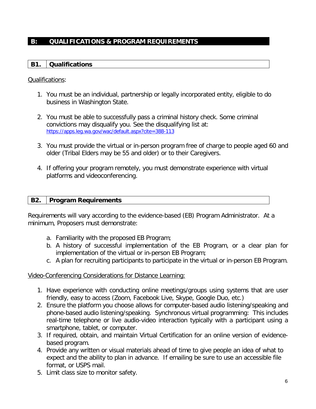#### **B: QUALIFICATIONS & PROGRAM REQUIREMENTS**

#### **B1. Qualifications**

#### Qualifications:

- 1. You must be an individual, partnership or legally incorporated entity, eligible to do business in Washington State.
- 2. You must be able to successfully pass a criminal history check. Some criminal convictions may disqualify you. See the disqualifying list at: <https://apps.leg.wa.gov/wac/default.aspx?cite=388-113>
- 3. You must provide the virtual or in-person program free of charge to people aged 60 and older (Tribal Elders may be 55 and older) or to their Caregivers.
- 4. If offering your program remotely, you must demonstrate experience with virtual platforms and videoconferencing.

#### **B2. Program Requirements**

Requirements will vary according to the evidence-based (EB) Program Administrator. At a minimum, Proposers must demonstrate:

- a. Familiarity with the proposed EB Program;
- b. A history of successful implementation of the EB Program, or a clear plan for implementation of the virtual or in-person EB Program;
- c. A plan for recruiting participants to participate in the virtual or in-person EB Program.

#### Video-Conferencing Considerations for Distance Learning:

- 1. Have experience with conducting online meetings/groups using systems that are user friendly, easy to access (Zoom, Facebook Live, Skype, Google Duo, etc.)
- 2. Ensure the platform you choose allows for computer-based audio listening/speaking and phone-based audio listening/speaking. Synchronous virtual programming: This includes real-time telephone or live audio-video interaction typically with a participant using a smartphone, tablet, or computer.
- 3. If required, obtain, and maintain Virtual Certification for an online version of evidencebased program.
- 4. Provide any written or visual materials ahead of time to give people an idea of what to expect and the ability to plan in advance. If emailing be sure to use an accessible file format, or USPS mail.
- 5. Limit class size to monitor safety.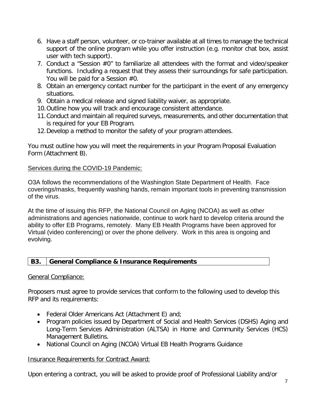- 6. Have a staff person, volunteer, or co-trainer available at all times to manage the technical support of the online program while you offer instruction (e.g. monitor chat box, assist user with tech support).
- 7. Conduct a "Session #0" to familiarize all attendees with the format and video/speaker functions. Including a request that they assess their surroundings for safe participation. You will be paid for a Session #0.
- 8. Obtain an emergency contact number for the participant in the event of any emergency situations.
- 9. Obtain a medical release and signed liability waiver, as appropriate.
- 10.Outline how you will track and encourage consistent attendance.
- 11.Conduct and maintain all required surveys, measurements, and other documentation that is required for your EB Program.
- 12.Develop a method to monitor the safety of your program attendees.

You must outline how you will meet the requirements in your Program Proposal Evaluation Form (Attachment B).

#### Services during the COVID-19 Pandemic:

O3A follows the recommendations of the Washington State Department of Health. Face coverings/masks, frequently washing hands, remain important tools in preventing transmission of the virus.

At the time of issuing this RFP, the National Council on Aging (NCOA) as well as other administrations and agencies nationwide, continue to work hard to develop criteria around the ability to offer EB Programs, remotely. Many EB Health Programs have been approved for Virtual (video conferencing) or over the phone delivery. Work in this area is ongoing and evolving.

#### **B3. General Compliance & Insurance Requirements**

#### General Compliance:

Proposers must agree to provide services that conform to the following used to develop this RFP and its requirements:

- Federal Older Americans Act (Attachment E) and;
- Program policies issued by Department of Social and Health Services (DSHS) Aging and Long-Term Services Administration (ALTSA) in Home and Community Services (HCS) Management Bulletins.
- National Council on Aging (NCOA) Virtual EB Health Programs Guidance

#### Insurance Requirements for Contract Award:

Upon entering a contract, you will be asked to provide proof of Professional Liability and/or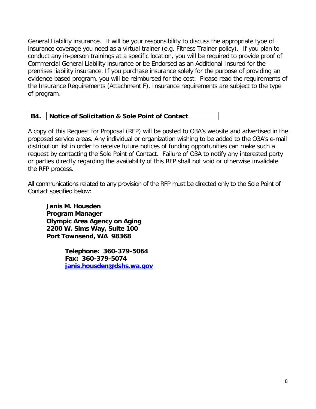General Liability insurance. It will be your responsibility to discuss the appropriate type of insurance coverage you need as a virtual trainer (e.g. Fitness Trainer policy). If you plan to conduct any in-person trainings at a specific location, you will be required to provide proof of Commercial General Liability insurance or be Endorsed as an Additional Insured for the premises liability insurance. If you purchase insurance solely for the purpose of providing an evidence-based program, you will be reimbursed for the cost. Please read the requirements of the Insurance Requirements (Attachment F). Insurance requirements are subject to the type of program.

#### **B4. Notice of Solicitation & Sole Point of Contact**

A copy of this Request for Proposal (RFP) will be posted to O3A's website and advertised in the proposed service areas. Any individual or organization wishing to be added to the O3A's e-mail distribution list in order to receive future notices of funding opportunities can make such a request by contacting the Sole Point of Contact. Failure of O3A to notify any interested party or parties directly regarding the availability of this RFP shall not void or otherwise invalidate the RFP process.

All communications related to any provision of the RFP must be directed only to the Sole Point of Contact specified below:

**Janis M. Housden Program Manager Olympic Area Agency on Aging 2200 W. Sims Way, Suite 100 Port Townsend, WA 98368**

> **Telephone: 360-379-5064 Fax: 360-379-5074 [janis.housden@dshs.wa.gov](mailto:housdjm@dshs.wa.gov)**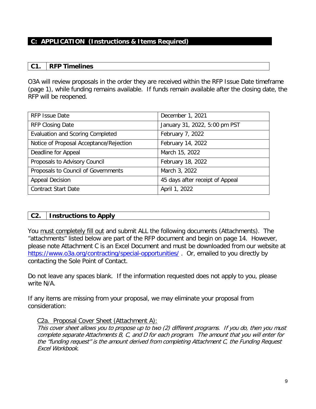#### **C: APPLICATION (Instructions & Items Required)**

#### **C1. RFP Timelines**

O3A will review proposals in the order they are received within the RFP Issue Date timeframe (page 1), while funding remains available. If funds remain available after the closing date, the RFP will be reopened.

| <b>RFP Issue Date</b>                   | December 1, 2021                |
|-----------------------------------------|---------------------------------|
| <b>RFP Closing Date</b>                 | January 31, 2022, 5:00 pm PST   |
| <b>Evaluation and Scoring Completed</b> | February 7, 2022                |
| Notice of Proposal Acceptance/Rejection | February 14, 2022               |
| Deadline for Appeal                     | March 15, 2022                  |
| Proposals to Advisory Council           | February 18, 2022               |
| Proposals to Council of Governments     | March 3, 2022                   |
| <b>Appeal Decision</b>                  | 45 days after receipt of Appeal |
| <b>Contract Start Date</b>              | April 1, 2022                   |

#### **C2. Instructions to Apply**

You must completely fill out and submit ALL the following documents (Attachments). The "attachments" listed below are part of the RFP document and begin on page 14. However, please note Attachment C is an Excel Document and must be downloaded from our website at <https://www.o3a.org/contracting/special-opportunities/> . Or, emailed to you directly by contacting the Sole Point of Contact.

Do not leave any spaces blank. If the information requested does not apply to you, please write N/A.

If any items are missing from your proposal, we may eliminate your proposal from consideration:

#### C2a. Proposal Cover Sheet (Attachment A):

This cover sheet allows you to propose up to two (2) different programs. If you do, then you must complete separate Attachments B, C, and D for each program. The amount that you will enter for the "funding request" is the amount derived from completing Attachment C, the Funding Request Excel Workbook.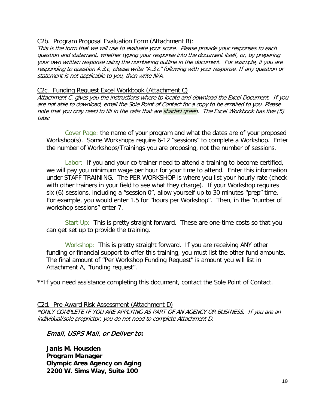#### C2b. Program Proposal Evaluation Form (Attachment B):

This is the form that we will use to evaluate your score. Please provide your responses to each question and statement, whether typing your response into the document itself, or, by preparing your own written response using the numbering outline in the document. For example, if you are responding to question A.3.c, please write "A.3.c" following with your response. If any question or statement is not applicable to you, then write N/A.

#### C2c. Funding Request Excel Workbook (Attachment C)

Attachment C, gives you the instructions where to locate and download the Excel Document. If you are not able to download, email the Sole Point of Contact for a copy to be emailed to you. Please note that you only need to fill in the cells that are shaded green. The Excel Workbook has five (5) tabs:

Cover Page: the name of your program and what the dates are of your proposed Workshop(s). Some Workshops require 6-12 "sessions" to complete a Workshop. Enter the number of Workshops/Trainings you are proposing, not the number of sessions.

Labor: If you and your co-trainer need to attend a training to become certified, we will pay you minimum wage per hour for your time to attend. Enter this information under STAFF TRAINING. The PER WORKSHOP is where you list your hourly rate (check with other trainers in your field to see what they charge). If your Workshop requires six (6) sessions, including a "session 0", allow yourself up to 30 minutes "prep" time. For example, you would enter 1.5 for "hours per Workshop". Then, in the "number of workshop sessions" enter 7.

Start Up: This is pretty straight forward. These are one-time costs so that you can get set up to provide the training.

Workshop: This is pretty straight forward. If you are receiving ANY other funding or financial support to offer this training, you must list the other fund amounts. The final amount of "Per Workshop Funding Request" is amount you will list in Attachment A, "funding request".

\*\*If you need assistance completing this document, contact the Sole Point of Contact.

#### C2d. Pre-Award Risk Assessment (Attachment D)

\*ONLY COMPLETE IF YOU ARE APPLYING AS PART OF AN AGENCY OR BUSINESS. If you are an individual/sole proprietor, you do not need to complete Attachment D.

#### Email, USPS Mail, or Deliver to**:**

**Janis M. Housden Program Manager Olympic Area Agency on Aging 2200 W. Sims Way, Suite 100**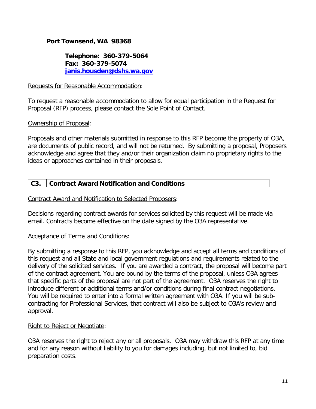#### **Port Townsend, WA 98368**

**Telephone: 360-379-5064 Fax: 360-379-5074 [janis.housden@dshs.wa.gov](mailto:housdjm@dshs.wa.gov)**

#### Requests for Reasonable Accommodation:

To request a reasonable accommodation to allow for equal participation in the Request for Proposal (RFP) process, please contact the Sole Point of Contact.

#### Ownership of Proposal:

Proposals and other materials submitted in response to this RFP become the property of O3A, are documents of public record, and will not be returned. By submitting a proposal, Proposers acknowledge and agree that they and/or their organization claim no proprietary rights to the ideas or approaches contained in their proposals.

#### **C3. Contract Award Notification and Conditions**

#### Contract Award and Notification to Selected Proposers:

Decisions regarding contract awards for services solicited by this request will be made via email. Contracts become effective on the date signed by the O3A representative.

#### Acceptance of Terms and Conditions:

By submitting a response to this RFP, you acknowledge and accept all terms and conditions of this request and all State and local government regulations and requirements related to the delivery of the solicited services. If you are awarded a contract, the proposal will become part of the contract agreement. You are bound by the terms of the proposal, unless O3A agrees that specific parts of the proposal are not part of the agreement. O3A reserves the right to introduce different or additional terms and/or conditions during final contract negotiations. You will be required to enter into a formal written agreement with O3A. If you will be subcontracting for Professional Services, that contract will also be subject to O3A's review and approval.

#### Right to Reject or Negotiate:

O3A reserves the right to reject any or all proposals. O3A may withdraw this RFP at any time and for any reason without liability to you for damages including, but not limited to, bid preparation costs.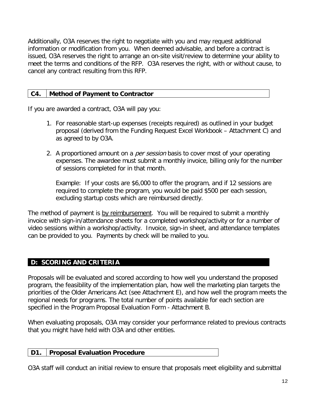Additionally, O3A reserves the right to negotiate with you and may request additional information or modification from you. When deemed advisable, and before a contract is issued, O3A reserves the right to arrange an on-site visit/review to determine your ability to meet the terms and conditions of the RFP. O3A reserves the right, with or without cause, to cancel any contract resulting from this RFP.

#### **C4. Method of Payment to Contractor**

If you are awarded a contract, O3A will pay you:

- 1. For reasonable start-up expenses (receipts required) as outlined in your budget proposal (derived from the Funding Request Excel Workbook – Attachment C) and as agreed to by O3A.
- 2. A proportioned amount on a *per session* basis to cover most of your operating expenses. The awardee must submit a monthly invoice, billing only for the number of sessions completed for in that month.

Example: If your costs are \$6,000 to offer the program, and if 12 sessions are required to complete the program, you would be paid \$500 per each session, excluding startup costs which are reimbursed directly.

The method of payment is by reimbursement. You will be required to submit a monthly invoice with sign-in/attendance sheets for a completed workshop/activity or for a number of video sessions within a workshop/activity. Invoice, sign-in sheet, and attendance templates can be provided to you. Payments by check will be mailed to you.

#### **D: SCORING AND CRITERIA**

Proposals will be evaluated and scored according to how well you understand the proposed program, the feasibility of the implementation plan, how well the marketing plan targets the priorities of the Older Americans Act (see Attachment E), and how well the program meets the regional needs for programs. The total number of points available for each section are specified in the Program Proposal Evaluation Form - Attachment B.

When evaluating proposals, O3A may consider your performance related to previous contracts that you might have held with O3A and other entities.

#### **D1. Proposal Evaluation Procedure**

O3A staff will conduct an initial review to ensure that proposals meet eligibility and submittal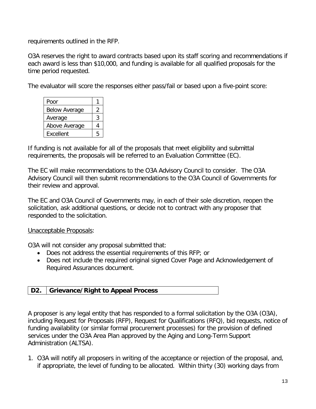requirements outlined in the RFP.

O3A reserves the right to award contracts based upon its staff scoring and recommendations if each award is less than \$10,000, and funding is available for all qualified proposals for the time period requested.

The evaluator will score the responses either pass/fail or based upon a five-point score:

| Poor                 |   |
|----------------------|---|
| <b>Below Average</b> | 2 |
| Average              | 3 |
| Above Average        | 4 |
| <b>Fxcellent</b>     | 5 |

If funding is not available for all of the proposals that meet eligibility and submittal requirements, the proposals will be referred to an Evaluation Committee (EC).

The EC will make recommendations to the O3A Advisory Council to consider. The O3A Advisory Council will then submit recommendations to the O3A Council of Governments for their review and approval.

The EC and O3A Council of Governments may, in each of their sole discretion, reopen the solicitation, ask additional questions, or decide not to contract with any proposer that responded to the solicitation.

Unacceptable Proposals:

O3A will not consider any proposal submitted that:

- Does not address the essential requirements of this RFP; or
- Does not include the required original signed Cover Page and Acknowledgement of Required Assurances document.

#### **D2. Grievance/Right to Appeal Process**

A proposer is any legal entity that has responded to a formal solicitation by the O3A (O3A), including Request for Proposals (RFP), Request for Qualifications (RFQ), bid requests, notice of funding availability (or similar formal procurement processes) for the provision of defined services under the O3A Area Plan approved by the Aging and Long-Term Support Administration (ALTSA).

1. O3A will notify all proposers in writing of the acceptance or rejection of the proposal, and, if appropriate, the level of funding to be allocated. Within thirty (30) working days from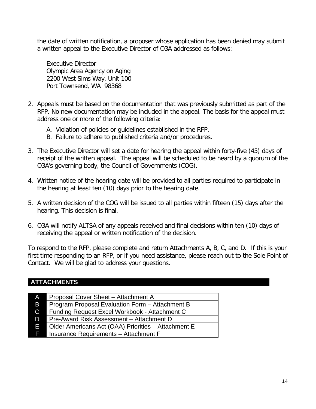the date of written notification, a proposer whose application has been denied may submit a written appeal to the Executive Director of O3A addressed as follows:

Executive Director Olympic Area Agency on Aging 2200 West Sims Way, Unit 100 Port Townsend, WA 98368

- 2. Appeals must be based on the documentation that was previously submitted as part of the RFP. No new documentation may be included in the appeal. The basis for the appeal must address one or more of the following criteria:
	- A. Violation of policies or guidelines established in the RFP.
	- B. Failure to adhere to published criteria and/or procedures.
- 3. The Executive Director will set a date for hearing the appeal within forty-five (45) days of receipt of the written appeal. The appeal will be scheduled to be heard by a quorum of the O3A's governing body, the Council of Governments (COG).
- 4. Written notice of the hearing date will be provided to all parties required to participate in the hearing at least ten (10) days prior to the hearing date.
- 5. A written decision of the COG will be issued to all parties within fifteen (15) days after the hearing. This decision is final.
- 6. O3A will notify ALTSA of any appeals received and final decisions within ten (10) days of receiving the appeal or written notification of the decision.

To respond to the RFP, please complete and return Attachments A, B, C, and D. If this is your first time responding to an RFP, or if you need assistance, please reach out to the Sole Point of Contact. We will be glad to address your questions.

#### **ATTACHMENTS**

| <b>AT</b>    | Proposal Cover Sheet - Attachment A                 |
|--------------|-----------------------------------------------------|
| <b>B</b>     | Program Proposal Evaluation Form - Attachment B     |
| $\mathbf{C}$ | Funding Request Excel Workbook - Attachment C       |
| D            | Pre-Award Risk Assessment - Attachment D            |
| F.           | Older Americans Act (OAA) Priorities - Attachment E |
| F.           | Insurance Requirements - Attachment F               |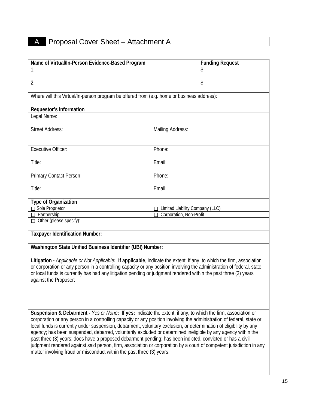## A Proposal Cover Sheet – Attachment A

| Name of Virtual/In-Person Evidence-Based Program                                                                                                                                                                          |                                 | <b>Funding Request</b> |
|---------------------------------------------------------------------------------------------------------------------------------------------------------------------------------------------------------------------------|---------------------------------|------------------------|
| 1.                                                                                                                                                                                                                        |                                 | \$                     |
|                                                                                                                                                                                                                           |                                 |                        |
| 2.                                                                                                                                                                                                                        |                                 | \$                     |
|                                                                                                                                                                                                                           |                                 |                        |
| Where will this Virtual/In-person program be offered from (e.g. home or business address):                                                                                                                                |                                 |                        |
| Requestor's information                                                                                                                                                                                                   |                                 |                        |
| Legal Name:                                                                                                                                                                                                               |                                 |                        |
|                                                                                                                                                                                                                           |                                 |                        |
| <b>Street Address:</b>                                                                                                                                                                                                    | <b>Mailing Address:</b>         |                        |
|                                                                                                                                                                                                                           |                                 |                        |
|                                                                                                                                                                                                                           |                                 |                        |
| <b>Executive Officer:</b>                                                                                                                                                                                                 | Phone:                          |                        |
| Title:                                                                                                                                                                                                                    | Email:                          |                        |
|                                                                                                                                                                                                                           |                                 |                        |
| Primary Contact Person:                                                                                                                                                                                                   | Phone:                          |                        |
|                                                                                                                                                                                                                           |                                 |                        |
| Title:                                                                                                                                                                                                                    | Email:                          |                        |
|                                                                                                                                                                                                                           |                                 |                        |
| <b>Type of Organization</b>                                                                                                                                                                                               |                                 |                        |
| Sole Proprietor                                                                                                                                                                                                           | Limited Liability Company (LLC) |                        |
| Partnership<br>$\Box$ Other (please specify):                                                                                                                                                                             | Corporation, Non-Profit         |                        |
|                                                                                                                                                                                                                           |                                 |                        |
| <b>Taxpayer Identification Number:</b>                                                                                                                                                                                    |                                 |                        |
|                                                                                                                                                                                                                           |                                 |                        |
| Washington State Unified Business Identifier (UBI) Number:                                                                                                                                                                |                                 |                        |
|                                                                                                                                                                                                                           |                                 |                        |
| Litigation - Applicable or Not Applicable: If applicable, indicate the extent, if any, to which the firm, association                                                                                                     |                                 |                        |
| or corporation or any person in a controlling capacity or any position involving the administration of federal, state,                                                                                                    |                                 |                        |
| or local funds is currently has had any litigation pending or judgment rendered within the past three (3) years<br>against the Proposer:                                                                                  |                                 |                        |
|                                                                                                                                                                                                                           |                                 |                        |
|                                                                                                                                                                                                                           |                                 |                        |
|                                                                                                                                                                                                                           |                                 |                        |
|                                                                                                                                                                                                                           |                                 |                        |
| Suspension & Debarment - Yes or None: If yes: Indicate the extent, if any, to which the firm, association or                                                                                                              |                                 |                        |
| corporation or any person in a controlling capacity or any position involving the administration of federal, state or                                                                                                     |                                 |                        |
| local funds is currently under suspension, debarment, voluntary exclusion, or determination of eligibility by any                                                                                                         |                                 |                        |
| agency; has been suspended, debarred, voluntarily excluded or determined ineligible by any agency within the<br>past three (3) years; does have a proposed debarment pending; has been indicted, convicted or has a civil |                                 |                        |
| judgment rendered against said person, firm, association or corporation by a court of competent jurisdiction in any                                                                                                       |                                 |                        |
| matter involving fraud or misconduct within the past three (3) years:                                                                                                                                                     |                                 |                        |
|                                                                                                                                                                                                                           |                                 |                        |
|                                                                                                                                                                                                                           |                                 |                        |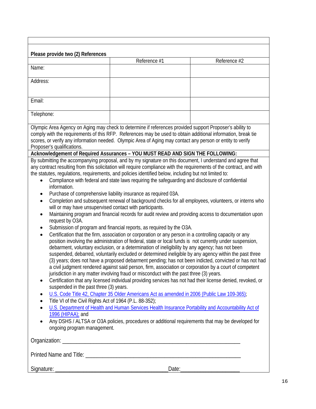| Please provide two (2) References                                                                                  | Reference #1                                                                                                          | Reference #2 |  |
|--------------------------------------------------------------------------------------------------------------------|-----------------------------------------------------------------------------------------------------------------------|--------------|--|
| Name:                                                                                                              |                                                                                                                       |              |  |
|                                                                                                                    |                                                                                                                       |              |  |
| Address:                                                                                                           |                                                                                                                       |              |  |
|                                                                                                                    |                                                                                                                       |              |  |
|                                                                                                                    |                                                                                                                       |              |  |
| Email:                                                                                                             |                                                                                                                       |              |  |
|                                                                                                                    |                                                                                                                       |              |  |
| Telephone:                                                                                                         |                                                                                                                       |              |  |
|                                                                                                                    | Olympic Area Agency on Aging may check to determine if references provided support Proposer's ability to              |              |  |
|                                                                                                                    | comply with the requirements of this RFP. References may be used to obtain additional information, break tie          |              |  |
|                                                                                                                    | scores, or verify any information needed. Olympic Area of Aging may contact any person or entity to verify            |              |  |
| Proposer's qualifications.                                                                                         |                                                                                                                       |              |  |
|                                                                                                                    | Acknowledgement of Required Assurances - YOU MUST READ AND SIGN THE FOLLOWING:                                        |              |  |
|                                                                                                                    | By submitting the accompanying proposal, and by my signature on this document, I understand and agree that            |              |  |
|                                                                                                                    | any contract resulting from this solicitation will require compliance with the requirements of the contract, and with |              |  |
|                                                                                                                    | the statutes, regulations, requirements, and policies identified below, including but not limited to:                 |              |  |
|                                                                                                                    | Compliance with federal and state laws requiring the safeguarding and disclosure of confidential                      |              |  |
| information.                                                                                                       |                                                                                                                       |              |  |
| ٠                                                                                                                  | Purchase of comprehensive liability insurance as required 03A.                                                        |              |  |
| Completion and subsequent renewal of background checks for all employees, volunteers, or interns who<br>$\bullet$  |                                                                                                                       |              |  |
|                                                                                                                    | will or may have unsupervised contact with participants.                                                              |              |  |
| Maintaining program and financial records for audit review and providing access to documentation upon<br>$\bullet$ |                                                                                                                       |              |  |
| request by O3A.<br>Submission of program and financial reports, as required by the O3A.                            |                                                                                                                       |              |  |
| ٠<br>$\bullet$                                                                                                     | Certification that the firm, association or corporation or any person in a controlling capacity or any                |              |  |
|                                                                                                                    | position involving the administration of federal, state or local funds is not currently under suspension,             |              |  |
|                                                                                                                    | debarment, voluntary exclusion, or a determination of ineligibility by any agency; has not been                       |              |  |
|                                                                                                                    | suspended, debarred, voluntarily excluded or determined ineligible by any agency within the past three                |              |  |
|                                                                                                                    | (3) years; does not have a proposed debarment pending; has not been indicted, convicted or has not had                |              |  |
|                                                                                                                    | a civil judgment rendered against said person, firm, association or corporation by a court of competent               |              |  |
|                                                                                                                    | jurisdiction in any matter involving fraud or misconduct with the past three (3) years.                               |              |  |
| $\bullet$                                                                                                          | Certification that any licensed individual providing services has not had their license denied, revoked, or           |              |  |
| suspended in the past three (3) years.                                                                             |                                                                                                                       |              |  |
| $\bullet$                                                                                                          | U.S. Code Title 42, Chapter 35 Older Americans Act as amended in 2006 (Public Law 109-365);                           |              |  |
| Title VI of the Civil Rights Act of 1964 (P.L. 88-352);<br>$\bullet$                                               |                                                                                                                       |              |  |
|                                                                                                                    | U.S. Department of Health and Human Services Health Insurance Portability and Accountability Act of                   |              |  |
| $1996$ (HIPAA); and                                                                                                |                                                                                                                       |              |  |
| $\bullet$                                                                                                          | Any DSHS / ALTSA or O3A policies, procedures or additional requirements that may be developed for                     |              |  |
| ongoing program management.                                                                                        |                                                                                                                       |              |  |
|                                                                                                                    |                                                                                                                       |              |  |
|                                                                                                                    |                                                                                                                       |              |  |
|                                                                                                                    |                                                                                                                       |              |  |
|                                                                                                                    |                                                                                                                       |              |  |
|                                                                                                                    |                                                                                                                       |              |  |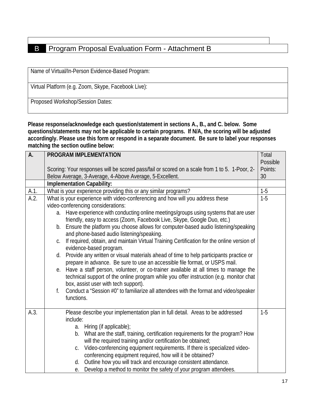#### **B** Program Proposal Evaluation Form - Attachment B

Name of Virtual/In-Person Evidence-Based Program:

Virtual Platform (e.g. Zoom, Skype, Facebook Live):

Proposed Workshop/Session Dates:

**Please response/acknowledge each question/statement in sections A., B., and C. below. Some questions/statements may not be applicable to certain programs. If N/A, the scoring will be adjusted accordingly. Please use this form or respond in a separate document. Be sure to label your responses matching the section outline below:**

| A.   | PROGRAM IMPLEMENTATION                                                                                                                                               | Total    |
|------|----------------------------------------------------------------------------------------------------------------------------------------------------------------------|----------|
|      |                                                                                                                                                                      | Possible |
|      | Scoring: Your responses will be scored pass/fail or scored on a scale from 1 to 5. 1-Poor, 2-                                                                        | Points:  |
|      | Below Average, 3-Average, 4-Above Average, 5-Excellent.                                                                                                              | 30       |
|      | <b>Implementation Capability:</b>                                                                                                                                    |          |
| A.1. | What is your experience providing this or any similar programs?                                                                                                      | $1-5$    |
| A.2. | What is your experience with video-conferencing and how will you address these                                                                                       | $1-5$    |
|      | video-conferencing considerations:                                                                                                                                   |          |
|      | Have experience with conducting online meetings/groups using systems that are user<br>a.                                                                             |          |
|      | friendly, easy to access (Zoom, Facebook Live, Skype, Google Duo, etc.)                                                                                              |          |
|      | b. Ensure the platform you choose allows for computer-based audio listening/speaking                                                                                 |          |
|      | and phone-based audio listening/speaking.                                                                                                                            |          |
|      | If required, obtain, and maintain Virtual Training Certification for the online version of<br>C.                                                                     |          |
|      | evidence-based program.                                                                                                                                              |          |
|      | Provide any written or visual materials ahead of time to help participants practice or<br>d.                                                                         |          |
|      | prepare in advance. Be sure to use an accessible file format, or USPS mail.<br>e. Have a staff person, volunteer, or co-trainer available at all times to manage the |          |
|      | technical support of the online program while you offer instruction (e.g. monitor chat                                                                               |          |
|      | box, assist user with tech support).                                                                                                                                 |          |
|      | Conduct a "Session #0" to familiarize all attendees with the format and video/speaker<br>f.                                                                          |          |
|      | functions.                                                                                                                                                           |          |
|      |                                                                                                                                                                      |          |
| A.3. | Please describe your implementation plan in full detail. Areas to be addressed                                                                                       | $1-5$    |
|      | include:                                                                                                                                                             |          |
|      | a. Hiring (if applicable);                                                                                                                                           |          |
|      | b. What are the staff, training, certification requirements for the program? How                                                                                     |          |
|      | will the required training and/or certification be obtained;                                                                                                         |          |
|      | Video-conferencing equipment requirements. If there is specialized video-<br>C.                                                                                      |          |
|      | conferencing equipment required, how will it be obtained?                                                                                                            |          |
|      | Outline how you will track and encourage consistent attendance.<br>d.                                                                                                |          |
|      | e. Develop a method to monitor the safety of your program attendees.                                                                                                 |          |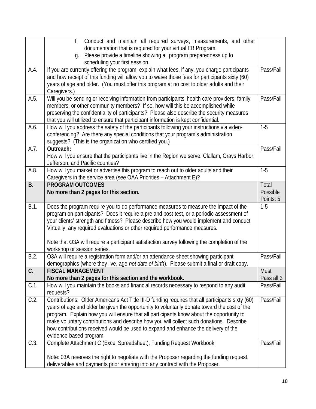|           | Conduct and maintain all required surveys, measurements, and other<br>f.                                                                                                             |            |
|-----------|--------------------------------------------------------------------------------------------------------------------------------------------------------------------------------------|------------|
|           | documentation that is required for your virtual EB Program.                                                                                                                          |            |
|           | Please provide a timeline showing all program preparedness up to<br>q.                                                                                                               |            |
|           | scheduling your first session.                                                                                                                                                       |            |
| A.4.      | If you are currently offering the program, explain what fees, if any, you charge participants                                                                                        | Pass/Fail  |
|           | and how receipt of this funding will allow you to waive those fees for participants sixty (60)                                                                                       |            |
|           | years of age and older. (You must offer this program at no cost to older adults and their                                                                                            |            |
|           | Caregivers.)                                                                                                                                                                         |            |
| A.5.      | Will you be sending or receiving information from participants' health care providers, family                                                                                        | Pass/Fail  |
|           | members, or other community members? If so, how will this be accomplished while                                                                                                      |            |
|           | preserving the confidentiality of participants? Please also describe the security measures                                                                                           |            |
|           | that you will utilized to ensure that participant information is kept confidential.                                                                                                  |            |
| A.6.      | How will you address the safety of the participants following your instructions via video-                                                                                           | $1 - 5$    |
|           | conferencing? Are there any special conditions that your program's administration                                                                                                    |            |
|           | suggests? (This is the organization who certified you.)                                                                                                                              |            |
| A.7.      | Outreach:                                                                                                                                                                            | Pass/Fail  |
|           | How will you ensure that the participants live in the Region we serve: Clallam, Grays Harbor,                                                                                        |            |
|           | Jefferson, and Pacific counties?                                                                                                                                                     |            |
| A.8.      | How will you market or advertise this program to reach out to older adults and their                                                                                                 | $1-5$      |
|           | Caregivers in the service area (see OAA Priorities - Attachment E)?                                                                                                                  |            |
| <b>B.</b> | <b>PROGRAM OUTCOMES</b>                                                                                                                                                              | Total      |
|           | No more than 2 pages for this section.                                                                                                                                               | Possible   |
| B.1.      |                                                                                                                                                                                      | Points: 5  |
|           | Does the program require you to do performance measures to measure the impact of the                                                                                                 | $1-5$      |
|           | program on participants? Does it require a pre and post-test, or a periodic assessment of<br>your clients' strength and fitness? Please describe how you would implement and conduct |            |
|           | Virtually, any required evaluations or other required performance measures.                                                                                                          |            |
|           |                                                                                                                                                                                      |            |
|           | Note that O3A will require a participant satisfaction survey following the completion of the                                                                                         |            |
|           | workshop or session series.                                                                                                                                                          |            |
| B.2.      | O3A will require a registration form and/or an attendance sheet showing participant                                                                                                  | Pass/Fail  |
|           | demographics (where they live, age-not date of birth). Please submit a final or draft copy.                                                                                          |            |
| C.        | <b>FISCAL MANAGEMENT</b>                                                                                                                                                             | Must       |
|           | No more than 2 pages for this section and the workbook.                                                                                                                              | Pass all 3 |
| $C.1$ .   | How will you maintain the books and financial records necessary to respond to any audit                                                                                              | Pass/Fail  |
|           | requests?                                                                                                                                                                            |            |
| C.2.      | Contributions: Older Americans Act Title III-D funding requires that all participants sixty (60)                                                                                     | Pass/Fail  |
|           | years of age and older be given the opportunity to voluntarily donate toward the cost of the                                                                                         |            |
|           | program. Explain how you will ensure that all participants know about the opportunity to                                                                                             |            |
|           | make voluntary contributions and describe how you will collect such donations. Describe                                                                                              |            |
|           | how contributions received would be used to expand and enhance the delivery of the                                                                                                   |            |
|           | evidence-based program.                                                                                                                                                              |            |
| C.3.      | Complete Attachment C (Excel Spreadsheet), Funding Request Workbook.                                                                                                                 | Pass/Fail  |
|           |                                                                                                                                                                                      |            |
|           | Note: 03A reserves the right to negotiate with the Proposer regarding the funding request,                                                                                           |            |
|           | deliverables and payments prior entering into any contract with the Proposer.                                                                                                        |            |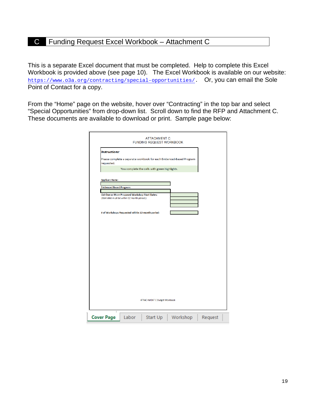#### C Funding Request Excel Workbook – Attachment C

This is a separate Excel document that must be completed. Help to complete this Excel Workbook is provided above (see page 10). The Excel Workbook is available on our website: [https://www.o3a.org/contracting/special-opportunities/.](https://www.o3a.org/contracting/special-opportunities/) Or, you can email the Sole Point of Contact for a copy.

From the "Home" page on the website, hover over "Contracting" in the top bar and select "Special Opportunities" from drop-down list. Scroll down to find the RFP and Attachment C. These documents are available to download or print. Sample page below:

|                                                                                                 | <b>ATTACHMENT C</b><br><b>FUNDING REQUEST WORKBOOK</b> |                                               |                                                                      |  |  |
|-------------------------------------------------------------------------------------------------|--------------------------------------------------------|-----------------------------------------------|----------------------------------------------------------------------|--|--|
| Instructions:                                                                                   |                                                        |                                               |                                                                      |  |  |
| requested.                                                                                      |                                                        |                                               | Please complete a separate workbook for each Evidenced-Based Program |  |  |
|                                                                                                 |                                                        | You complete the cells with green highlights. |                                                                      |  |  |
| <b>Applicant Name:</b>                                                                          |                                                        |                                               |                                                                      |  |  |
|                                                                                                 |                                                        |                                               |                                                                      |  |  |
| <b>Evidenced Based Program:</b>                                                                 |                                                        |                                               |                                                                      |  |  |
|                                                                                                 |                                                        |                                               |                                                                      |  |  |
| List One or More Proposed Workshop Start Dates:<br>(Start date must be within 12 month period.) |                                                        |                                               |                                                                      |  |  |
|                                                                                                 |                                                        |                                               |                                                                      |  |  |
|                                                                                                 | # of Workshops Requested within 12-month period:       |                                               |                                                                      |  |  |
|                                                                                                 |                                                        |                                               |                                                                      |  |  |
|                                                                                                 |                                                        |                                               |                                                                      |  |  |
|                                                                                                 |                                                        |                                               |                                                                      |  |  |
|                                                                                                 |                                                        |                                               |                                                                      |  |  |
|                                                                                                 |                                                        |                                               |                                                                      |  |  |
|                                                                                                 |                                                        |                                               |                                                                      |  |  |
|                                                                                                 |                                                        |                                               |                                                                      |  |  |
|                                                                                                 |                                                        |                                               |                                                                      |  |  |
|                                                                                                 |                                                        |                                               |                                                                      |  |  |
|                                                                                                 |                                                        |                                               |                                                                      |  |  |
|                                                                                                 |                                                        |                                               |                                                                      |  |  |
|                                                                                                 |                                                        |                                               |                                                                      |  |  |
|                                                                                                 |                                                        |                                               |                                                                      |  |  |
|                                                                                                 |                                                        |                                               |                                                                      |  |  |
|                                                                                                 |                                                        |                                               |                                                                      |  |  |
|                                                                                                 |                                                        |                                               |                                                                      |  |  |
|                                                                                                 |                                                        |                                               |                                                                      |  |  |
|                                                                                                 |                                                        |                                               |                                                                      |  |  |
|                                                                                                 |                                                        |                                               |                                                                      |  |  |
|                                                                                                 |                                                        |                                               |                                                                      |  |  |
|                                                                                                 |                                                        |                                               |                                                                      |  |  |
|                                                                                                 |                                                        |                                               |                                                                      |  |  |
|                                                                                                 |                                                        |                                               |                                                                      |  |  |
|                                                                                                 |                                                        | <b>ATTACHMENT C Budget Workbook</b>           |                                                                      |  |  |
|                                                                                                 |                                                        |                                               |                                                                      |  |  |
|                                                                                                 |                                                        |                                               |                                                                      |  |  |
| <b>Cover Page</b>                                                                               | Labor                                                  |                                               | Start Up   Workshop   Request                                        |  |  |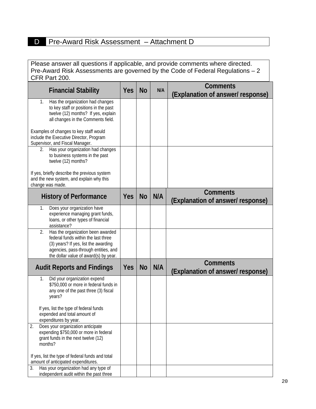#### D Pre-Award Risk Assessment – Attachment D

Please answer all questions if applicable, and provide comments where directed. Pre-Award Risk Assessments are governed by the Code of Federal Regulations – 2 CFR Part 200.

| <b>Financial Stability</b>                                                                                                                                                                              | <b>Yes</b> | <b>No</b> | N/A | <b>Comments</b><br>(Explanation of answer/ response) |
|---------------------------------------------------------------------------------------------------------------------------------------------------------------------------------------------------------|------------|-----------|-----|------------------------------------------------------|
| Has the organization had changes<br>1.<br>to key staff or positions in the past<br>twelve (12) months? If yes, explain<br>all changes in the Comments field.                                            |            |           |     |                                                      |
| Examples of changes to key staff would<br>include the Executive Director, Program<br>Supervisor, and Fiscal Manager.                                                                                    |            |           |     |                                                      |
| Has your organization had changes<br>2.<br>to business systems in the past<br>twelve (12) months?                                                                                                       |            |           |     |                                                      |
| If yes, briefly describe the previous system<br>and the new system, and explain why this<br>change was made.                                                                                            |            |           |     |                                                      |
| <b>History of Performance</b>                                                                                                                                                                           | <b>Yes</b> | <b>No</b> | N/A | <b>Comments</b><br>(Explanation of answer/ response) |
| Does your organization have<br>1.<br>experience managing grant funds,<br>loans, or other types of financial<br>assistance?                                                                              |            |           |     |                                                      |
| 2.<br>Has the organization been awarded<br>federal funds within the last three<br>(3) years? If yes, list the awarding<br>agencies, pass-through entities, and<br>the dollar value of award(s) by year. |            |           |     |                                                      |
| <b>Audit Reports and Findings</b>                                                                                                                                                                       | <b>Yes</b> | <b>No</b> | N/A | <b>Comments</b><br>(Explanation of answer/ response) |
| Did your organization expend<br>1.<br>\$750,000 or more in federal funds in<br>any one of the past three (3) fiscal<br>years?                                                                           |            |           |     |                                                      |
| If yes, list the type of federal funds<br>expended and total amount of<br>expenditures by year.                                                                                                         |            |           |     |                                                      |
| 2.<br>Does your organization anticipate<br>expending \$750,000 or more in federal<br>grant funds in the next twelve (12)<br>months?                                                                     |            |           |     |                                                      |
| If yes, list the type of federal funds and total<br>amount of anticipated expenditures.<br>Has your organization had any type of<br>3.                                                                  |            |           |     |                                                      |
| independent audit within the past three                                                                                                                                                                 |            |           |     |                                                      |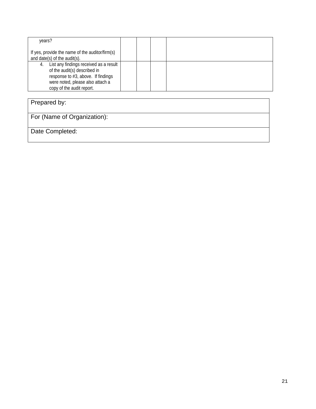| years?                                                                                                                                                                              |  |  |  |
|-------------------------------------------------------------------------------------------------------------------------------------------------------------------------------------|--|--|--|
| If yes, provide the name of the auditor/firm(s)<br>and date(s) of the audit(s).                                                                                                     |  |  |  |
| List any findings received as a result<br>4.<br>of the audit(s) described in<br>response to #3, above. If findings<br>were noted, please also attach a<br>copy of the audit report. |  |  |  |

### Prepared by:

For (Name of Organization):

Date Completed: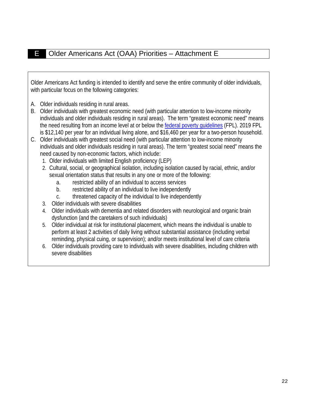Older Americans Act funding is intended to identify and serve the entire community of older individuals, with particular focus on the following categories:

- A. Older individuals residing in rural areas.
- B. Older individuals with greatest economic need (with particular attention to low-income minority individuals and older individuals residing in rural areas). The term "greatest economic need" means the need resulting from an income level at or below the [federal poverty guidelines](http://aspe.hhs.gov/poverty) (FPL). 2019 FPL is \$12,140 per year for an individual living alone, and \$16,460 per year for a two-person household.
- C. Older individuals with greatest social need (with particular attention to low-income minority individuals and older individuals residing in rural areas). The term "greatest social need" means the need caused by non-economic factors, which include:
	- 1. Older individuals with limited English proficiency (LEP)
	- 2. Cultural, social, or geographical isolation, including isolation caused by racial, ethnic, and/or sexual orientation status that results in any one or more of the following:
		- a. restricted ability of an individual to access services
		- b. restricted ability of an individual to live independently
		- c. threatened capacity of the individual to live independently
	- 3. Older individuals with severe disabilities
	- 4. Older individuals with dementia and related disorders with neurological and organic brain dysfunction (and the caretakers of such individuals)
	- 5. Older individual at risk for institutional placement, which means the individual is unable to perform at least 2 activities of daily living without substantial assistance (including verbal reminding, physical cuing, or supervision); and/or meets institutional level of care criteria
	- 6. Older individuals providing care to individuals with severe disabilities, including children with severe disabilities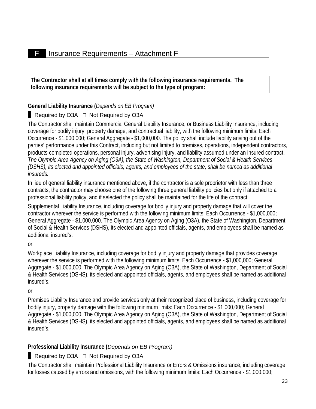#### F Insurance Requirements – Attachment F

**The Contractor shall at all times comply with the following insurance requirements. The following insurance requirements will be subject to the type of program:**

#### **General Liability Insurance (***Depends on EB Program)*

#### Required by O3A  $\Box$  Not Required by O3A

The Contractor shall maintain Commercial General Liability Insurance, or Business Liability Insurance, including coverage for bodily injury, property damage, and contractual liability, with the following minimum limits: Each Occurrence - \$1,000,000; General Aggregate - \$1,000,000. The policy shall include liability arising out of the parties' performance under this Contract, including but not limited to premises, operations, independent contractors, products-completed operations, personal injury, advertising injury, and liability assumed under an insured contract. *The Olympic Area Agency on Aging (O3A), the State of Washington, Department of Social & Health Services (DSHS), its elected and appointed officials, agents, and employees of the state, shall be named as additional insureds.*

In lieu of general liability insurance mentioned above, if the contractor is a sole proprietor with less than three contracts, the contractor may choose one of the following three general liability policies but only if attached to a professional liability policy, and if selected the policy shall be maintained for the life of the contract:

Supplemental Liability Insurance, including coverage for bodily injury and property damage that will cover the contractor wherever the service is performed with the following minimum limits: Each Occurrence - \$1,000,000; General Aggregate - \$1,000,000. The Olympic Area Agency on Aging (O3A), the State of Washington, Department of Social & Health Services (DSHS), its elected and appointed officials, agents, and employees shall be named as additional insured's.

or

Workplace Liability Insurance, including coverage for bodily injury and property damage that provides coverage wherever the service is performed with the following minimum limits: Each Occurrence - \$1,000,000; General Aggregate - \$1,000,000. The Olympic Area Agency on Aging (O3A), the State of Washington, Department of Social & Health Services (DSHS), its elected and appointed officials, agents, and employees shall be named as additional insured's.

or

Premises Liability Insurance and provide services only at their recognized place of business, including coverage for bodily injury, property damage with the following minimum limits: Each Occurrence - \$1,000,000; General Aggregate - \$1,000,000. The Olympic Area Agency on Aging (O3A), the State of Washington, Department of Social & Health Services (DSHS), its elected and appointed officials, agents, and employees shall be named as additional insured's.

#### **Professional Liability Insurance (***Depends on EB Program)*

#### Required by O3A  $\Box$  Not Required by O3A

The Contractor shall maintain Professional Liability Insurance or Errors & Omissions insurance, including coverage for losses caused by errors and omissions, with the following minimum limits: Each Occurrence - \$1,000,000;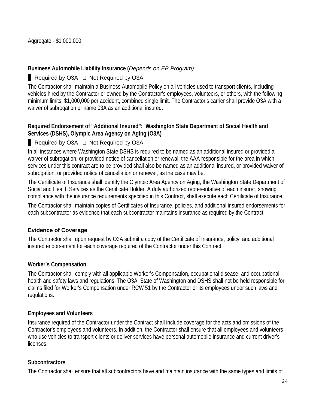Aggregate - \$1,000,000.

#### **Business Automobile Liability Insurance (***Depends on EB Program)*

#### Required by O3A  $\Box$  Not Required by O3A

The Contractor shall maintain a Business Automobile Policy on all vehicles used to transport clients, including vehicles hired by the Contractor or owned by the Contractor's employees, volunteers, or others, with the following minimum limits: \$1,000,000 per accident, combined single limit. The Contractor's carrier shall provide O3A with a waiver of subrogation or name 03A as an additional insured.

#### **Required Endorsement of "Additional Insured": Washington State Department of Social Health and Services (DSHS), Olympic Area Agency on Aging (O3A)**

#### Required by O3A  $\Box$  Not Required by O3A

In all instances where Washington State DSHS is required to be named as an additional insured or provided a waiver of subrogation, or provided notice of cancellation or renewal, the AAA responsible for the area in which services under this contract are to be provided shall also be named as an additional insured, or provided waiver of subrogation, or provided notice of cancellation or renewal, as the case may be.

The Certificate of Insurance shall identify the Olympic Area Agency on Aging, the Washington State Department of Social and Health Services as the Certificate Holder. A duly authorized representative of each insurer, showing compliance with the insurance requirements specified in this Contract, shall execute each Certificate of Insurance.

The Contractor shall maintain copies of Certificates of Insurance, policies, and additional insured endorsements for each subcontractor as evidence that each subcontractor maintains insurance as required by the Contract

#### **Evidence of Coverage**

The Contractor shall upon request by O3A submit a copy of the Certificate of Insurance, policy, and additional insured endorsement for each coverage required of the Contractor under this Contract.

#### **Worker's Compensation**

The Contractor shall comply with all applicable Worker's Compensation, occupational disease, and occupational health and safety laws and regulations. The O3A, State of Washington and DSHS shall not be held responsible for claims filed for Worker's Compensation under RCW 51 by the Contractor or its employees under such laws and regulations.

#### **Employees and Volunteers**

Insurance required of the Contractor under the Contract shall include coverage for the acts and omissions of the Contractor's employees and volunteers. In addition, the Contractor shall ensure that all employees and volunteers who use vehicles to transport clients or deliver services have personal automobile insurance and current driver's **licenses** 

#### **Subcontractors**

The Contractor shall ensure that all subcontractors have and maintain insurance with the same types and limits of